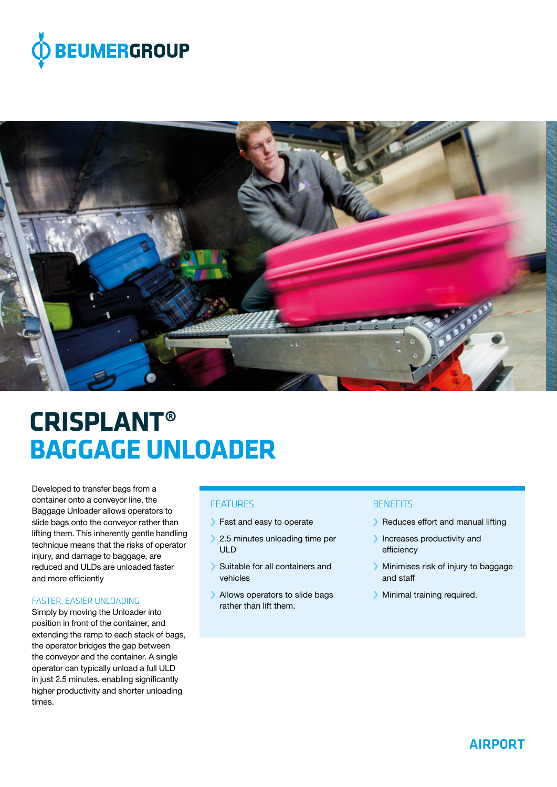



# **CRISPLANT® BAGGAGE UNLOADER**

Developed to transfer bags from a container onto a conveyor line, the Baggage Unloader allows operators to slide bags onto the conveyor rather than lifting them. This inherently gentle handling technique means that the risks of operator injury, and damage to baggage, are reduced and ULDs are unloaded faster and more efficiently

### FASTER, EASIER UNLOADING

Simply by moving the Unloader into position in front of the container, and extending the ramp to each stack of bags, the operator bridges the gap between the conveyor and the container. A single operator can typically unload a full ULD in just 2.5 minutes, enabling significantly higher productivity and shorter unloading times.

## **FFATURES**

- › Fast and easy to operate
- > 2.5 minutes unloading time per ULD
- › Suitable for all containers and vehicles
- › Allows operators to slide bags rather than lift them.

# **BENEFITS**

- › Reduces effort and manual lifting
- › Increases productivity and efficiency
- › Minimises risk of injury to baggage and staff
- › Minimal training required.